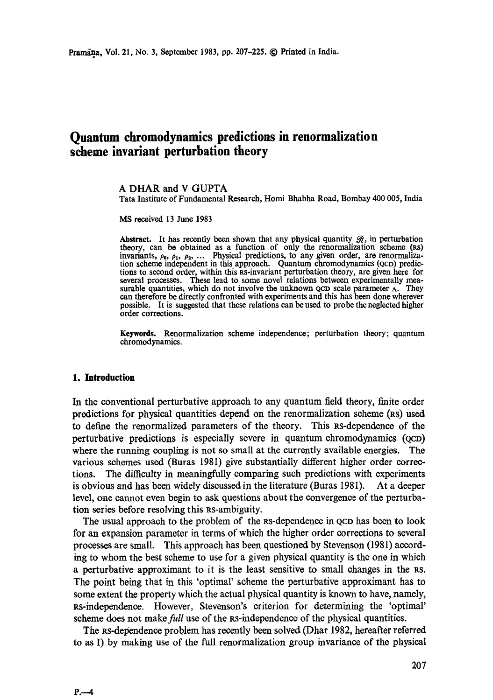# **Quantum chromodynamics predictions in renormalization scheme invariant perturbation theory**

### A DHAR and V GUPTA

Tara Institute of Fundamental Research, Homi Bhabha Road, Bombay 400 005, India

MS received 13 June 1983

Abstract. It has recently been shown that any physical quantity  $\mathcal{R}$ , in perturbation theory, can be obtained as a function of only the renormalization scheme (RS) invariants,  $\rho_0$ ,  $\rho_1$ ,  $\rho_2$ , .... Physical predictions, to any given order, are renormalization scheme independent in this approach. Quantum chromodynamics (QCD) predictions to second order, within this Rs-invariant perturbation theory, are given here for several processes. These lead to some novel relations between experimentally measurable quantities, which do not involve the unknown  $QCD$  scale parameter  $\Lambda$ . They can therefore be directly confronted with experiments and this has been done wherever possible. It is suggested that these relations can be used to probe the neglected higher order corrections.

**Keywords.** Renormalization scheme independence; perturbation theory; quantum chromodynamics.

### **1. Introduction**

In the conventional perturbative approach to any quantum field theory, finite order predictions for physical quantities depend on the renormalization scheme ( $\kappa s$ ) used to define the renormalized parameters of the theory. This Rs-dependenee of the perturbative predictions is especially severe in quantum chromodynamies (QCD) where the running coupling is not so small at the currently available energies. The various schemes used (Buras 1981) give substantially different higher order corrections. The difficulty in meaningfully comparing such predictions with experiments is obvious and has been widely discussed in the literature (Buras 1981). At a deeper level, one cannot even begin to ask questions about the convergence of the perturbation series before resolving this Rs-ambiguity.

The usual approach to the problem of the Rs-dependence in QCD has been to look for an expansion parameter in terms of which the higher order corrections to several processes are small. This approach has been questioned by Stevenson (1981) according to whom the best scheme to use for a given physical quantity is the one in which a perturbative approximant to it is the least sensitive to small changes in the RS. The point being that in this 'optimal' scheme the perturbative approximant has to some extent the property which the actual physical quantity is known to have, namely,  $Rs$ -independence. However, Stevenson's criterion for determining the 'optimal' scheme does not make full use of the RS-independence of the physical quantities.

The Rs-dependenee problem has recently been solved (Dhar 1982, hereafter referred to as I) by making use of the full renormalization group invariance of the physical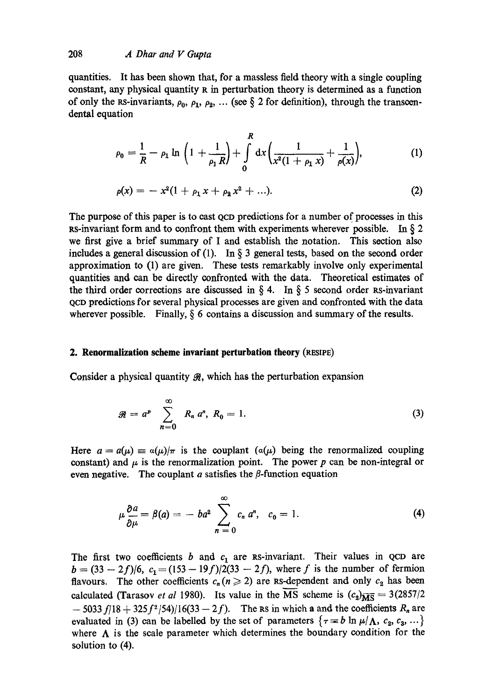quantities. It has been shown that, for a massless field theory with a single coupling constant, any physical quantity R in perturbation theory is determined as a function of only the RS-invariants,  $\rho_0$ ,  $\rho_1$ ,  $\rho_2$ , ... (see § 2 for definition), through the transcendental equation

$$
\rho_0 = \frac{1}{R} - \rho_1 \ln \left( 1 + \frac{1}{\rho_1 R} \right) + \int_0^R dx \left( \frac{1}{x^2 (1 + \rho_1 x)} + \frac{1}{\rho(x)} \right), \tag{1}
$$

$$
\rho(x) = -x^2(1 + \rho_1 x + \rho_2 x^2 + \ldots).
$$
 (2)

The purpose of this paper is to east QCD predictions for a number of processes in this RS-invariant form and to confront them with experiments wherever possible. In  $\S 2$ we first give a brief summary of I and establish the notation. This section also includes a general discussion of (1). In  $\S$  3 general tests, based on the second order approximation to (1) are given. These tests remarkably involve only experimental quantities and can be directly confronted with the data. Theoretical estimates of the third order corrections are discussed in  $\S 4$ . In  $\S 5$  second order RS-invariant QCD predictions for several physical processes are given and confronted with the data wherever possible. Finally,  $\delta$  6 contains a discussion and summary of the results.

### **2. Renormalization scheme invariant perturbation theory (RESIPE)**

Consider a physical quantity  $\mathcal{R}$ , which has the perturbation expansion

$$
\mathcal{R} = a^p \sum_{n=0}^{\infty} R_n a^n, R_0 = 1.
$$
 (3)

Here  $a = a(\mu) \equiv a(\mu)/\pi$  is the couplant  $(a(\mu))$  being the renormalized coupling constant) and  $\mu$  is the renormalization point. The power p can be non-integral or even negative. The couplant  $a$  satisfies the  $\beta$ -function equation

$$
\mu \frac{\partial a}{\partial \mu} = \beta(a) = -ba^2 \sum_{n=0}^{\infty} c_n a^n, \quad c_0 = 1. \tag{4}
$$

The first two coefficients b and  $c_1$  are RS-invariant. Their values in QCD are  $b = (33 - 2f)/6$ ,  $c_1 = (153 - 19f)/2(33 - 2f)$ , where f is the number of fermion flavours. The other coefficients  $c_n (n \ge 2)$  are Rs-dependent and only  $c_2$  has been calculated (Tarasov *et al* 1980). Its value in the MS scheme is  $(c_2)_{\overline{\text{MS}}} = 3(2857/2)$  $-$  5033 f/18 + 325 f<sup>2</sup>/54)/16(33 - 2 f). The Rs in which a and the coefficients R<sub>n</sub> are evaluated in (3) can be labelled by the set of parameters  $\{\tau = b \ln \mu/\Lambda, c_2, c_3, ...\}$ where  $\Lambda$  is the scale parameter which determines the boundary condition for the solution to (4).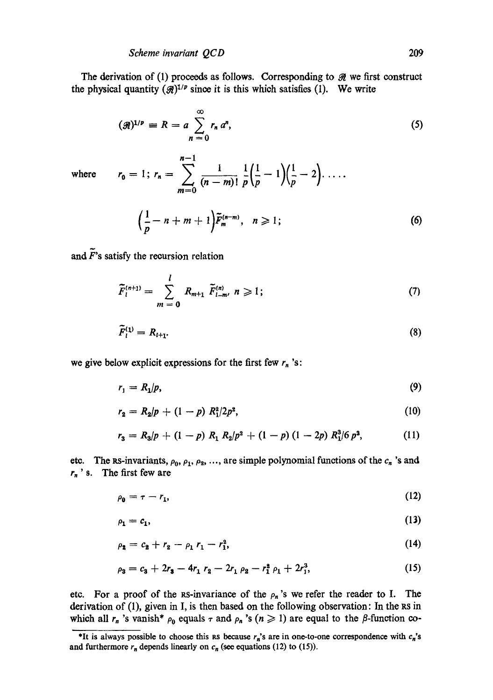### *Scheme invariant QCD*

 $n-1$ 

The derivation of (1) proceeds as follows. Corresponding to  $\mathcal{R}$  we first construct the physical quantity  $({\cal R})^{1/p}$  since it is this which satisfies (1). We write

$$
(\mathcal{R})^{1/p} \equiv R = a \sum_{n=0}^{\infty} r_n a^n, \tag{5}
$$

where  $\mathbf{r}$ 

$$
r_0 = 1; r_n = \sum_{m=0}^{\infty} \frac{1}{(n-m)!} \frac{1}{p} \left( \frac{1}{p} - 1 \right) \left( \frac{1}{p} - 2 \right) \dots
$$

$$
\left( \frac{1}{p} - n + m + 1 \right) \tilde{F}_m^{(n-m)}, \quad n \ge 1; \tag{6}
$$

and  $\tilde{F}$ 's satisfy the recursion relation

$$
\widetilde{F}_{l}^{(n+1)} = \sum_{m=0}^{l} R_{m+1} \ \widetilde{F}_{l-m}^{(n)} \ n \geqslant 1; \tag{7}
$$

$$
\widetilde{F}_l^{(1)} = R_{l+1}.\tag{8}
$$

we give below explicit expressions for the first few  $r_n$ 's:

$$
r_1 = R_1/p,\tag{9}
$$

$$
r_2 = R_2/p + (1-p) R_1^2/2p^2, \qquad (10)
$$

$$
r_3 = R_3/p + (1-p) R_1 R_2/p^2 + (1-p) (1-2p) R_1^3/6 p^3,
$$
 (11)

etc. The RS-invariants,  $\rho_0$ ,  $\rho_1$ ,  $\rho_2$ , ..., are simple polynomial functions of the  $c_n$ 's and  $r_n$ ' s. The first few are

$$
\rho_0 = \tau - r_1,\tag{12}
$$

$$
\rho_1 = c_1,\tag{13}
$$

$$
\rho_2 = c_2 + r_2 - \rho_1 r_1 - r_1^2, \tag{14}
$$

$$
\rho_3 = c_3 + 2r_3 - 4r_1 r_2 - 2r_1 \rho_2 - r_1^2 \rho_1 + 2r_1^3, \tag{15}
$$

etc. For a proof of the RS-invariance of the  $\rho_n$ 's we refer the reader to I. The derivation of (1), given in I, is then based on the following observation: In the RS in which all  $r_n$  's vanish\*  $\rho_0$  equals  $\tau$  and  $\rho_n$  's ( $n \geq 1$ ) are equal to the  $\beta$ -function co-

<sup>\*</sup>It is always possible to choose this RS because  $r_n$ 's are in one-to-one correspondence with  $c_n$ 's and furthermore  $r_n$  depends linearly on  $c_n$  (see equations (12) to (15)).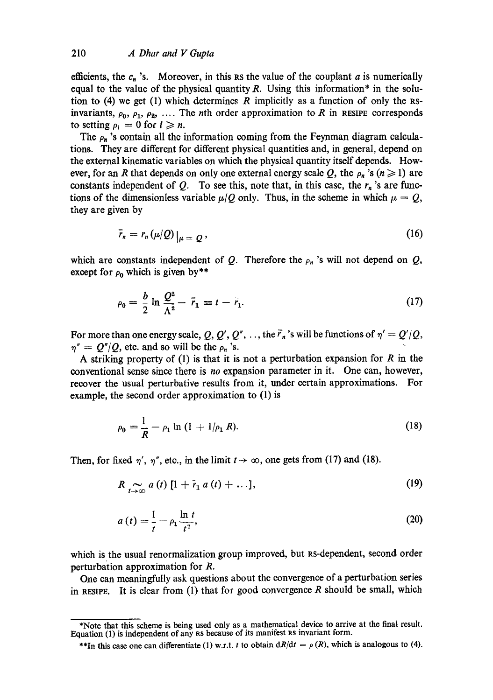efficients, the  $c_n$ 's. Moreover, in this Rs the value of the couplant a is numerically equal to the value of the physical quantity  $R$ . Using this information\* in the solution to (4) we get (1) which determines R implicitly as a function of only the RSinvariants,  $\rho_0$ ,  $\rho_1$ ,  $\rho_2$ , .... The *n*th order approximation to R in RESIPE corresponds to setting  $\rho_i = 0$  for  $i \geq n$ .

The  $\rho_n$  's contain all the information coming from the Feynman diagram calculations. They are different for different physical quantities and, in general, depend on the external kinematic variables on which the physical quantity itself depends. However, for an R that depends on only one external energy scale Q, the  $\rho_n$ 's ( $n\geq 1$ ) are constants independent of  $Q$ . To see this, note that, in this case, the  $r_n$ 's are functions of the dimensionless variable  $\mu/Q$  only. Thus, in the scheme in which  $\mu = Q$ , they are given by

$$
\bar{r}_n = r_n(\mu/Q)|_{\mu = Q},\tag{16}
$$

which are constants independent of Q. Therefore the  $\rho_n$ 's will not depend on Q, except for  $\rho_0$  which is given by\*\*

$$
\rho_0 = \frac{b}{2} \ln \frac{Q^2}{\Lambda^2} - \bar{r}_1 \equiv t - \bar{r}_1. \tag{17}
$$

For more than one energy scale, Q, Q', Q'', ..., the  $\bar{r}_n$ 's will be functions of  $\eta' = Q'/Q$ ,  $\eta'' = Q''/Q$ , etc. and so will be the  $\rho_n$ 's.

A striking property of (1) is that it is not a perturbation expansion for  $R$  in the conventional sense since there is *no* expansion parameter in it. One can, however, recover the usual perturbative results from it, under certain approximations. For example, the second order approximation to (1) is

$$
\rho_0 = \frac{1}{R} - \rho_1 \ln (1 + 1/\rho_1 R). \tag{18}
$$

Then, for fixed  $\eta'$ ,  $\eta''$ , etc., in the limit  $t \to \infty$ , one gets from (17) and (18).

$$
R \underset{t \to \infty}{\sim} a(t) \left[ 1 + \tilde{r}_1 a(t) + \ldots \right], \tag{19}
$$

$$
a(t) = \frac{1}{t} - \rho_1 \frac{\ln t}{t^2},\tag{20}
$$

which is the usual renormalization group improved, but Rs-dependent, second order perturbation approximation for R.

One can meaningfully ask questions about the convergence of a perturbation series in RESIPE. It is clear from  $(1)$  that for good convergence R should be small, which

<sup>\*</sup>Note that this scheme is being used only as a mathematical device to arrive at the final result. Equation (1) is independent of any Rs because of its manifest Rs invariant form.

<sup>\*\*</sup>In this case one can differentiate (1) w.r.t. t to obtain  $dR/dt = \rho(R)$ , which is analogous to (4).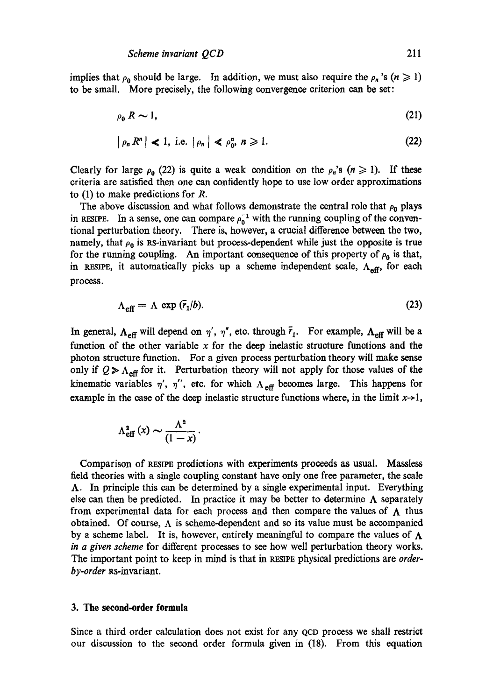implies that  $\rho_0$  should be large. In addition, we must also require the  $\rho_n$ 's ( $n \ge 1$ ) to be small. More precisely, the following convergence criterion can be set:

$$
\rho_0 R \sim 1,\tag{21}
$$

$$
|\rho_n R^n| < 1, \text{ i.e. } |\rho_n| < \rho_0^n, n \geqslant 1. \tag{22}
$$

Clearly for large  $\rho_0$  (22) is quite a weak condition on the  $\rho_n$ 's ( $n \ge 1$ ). If these criteria are satisfied then one can confidently hope to use low order approximations to (1) to make predictions for R.

The above discussion and what follows demonstrate the central role that  $\rho_0$  plays in RESIPE. In a sense, one can compare  $\rho_0^{-1}$  with the running coupling of the conventional perturbation theory. There is, however, a crucial difference between the two, namely, that  $\rho_0$  is RS-invariant but process-dependent while just the opposite is true for the running coupling. An important consequence of this property of  $\rho_0$  is that, in RESIPE, it automatically picks up a scheme independent scale,  $\Lambda_{\text{eff}}$ , for each process.

$$
\Lambda_{\text{eff}} = \Lambda \, \exp\left(\overline{r}_1/b\right). \tag{23}
$$

In general,  $\Lambda_{\text{eff}}$  will depend on  $\eta'$ ,  $\eta''$ , etc. through  $\bar{r}_1$ . For example,  $\Lambda_{\text{eff}}$  will be a function of the other variable  $x$  for the deep inelastic structure functions and the photon structure function. For a given process perturbation theory will make sense only if  $Q \ge \Lambda_{\text{eff}}$  for it. Perturbation theory will not apply for those values of the kinematic variables  $\eta'$ ,  $\eta''$ , etc. for which  $\Lambda_{\text{eff}}$  becomes large. This happens for example in the case of the deep inelastic structure functions where, in the limit  $x \rightarrow 1$ ,

$$
\Lambda_{\text{eff}}^{2}\left(x\right) \sim \frac{\Lambda^{2}}{\left(1-x\right)}.
$$

Comparison of RESIPE predictions with experiments proceeds as usual. Massless field theories with a single eoupling constant have only one free parameter, the scale A. In principle this can be determined by a single experimental input. Everything else can then be predicted. In practice it may be better to determine  $\Lambda$  separately from experimental data for each process and then compare the values of  $\Lambda$  thus obtained. Of course,  $\Lambda$  is scheme-dependent and so its value must be accompanied by a scheme label. It is, however, entirely meaningful to compare the values of  $\Lambda$ *in a given scheme* for different processes to see how well perturbation theory works. The important point to keep in mind is that in RESIPE physical predictions are *orderby-order* as-invariant.

### **3. The second-order formula**

Since a third order calculation does not exist for any QCD process we shall restrict our discussion to the second order formula given in (18). From this equation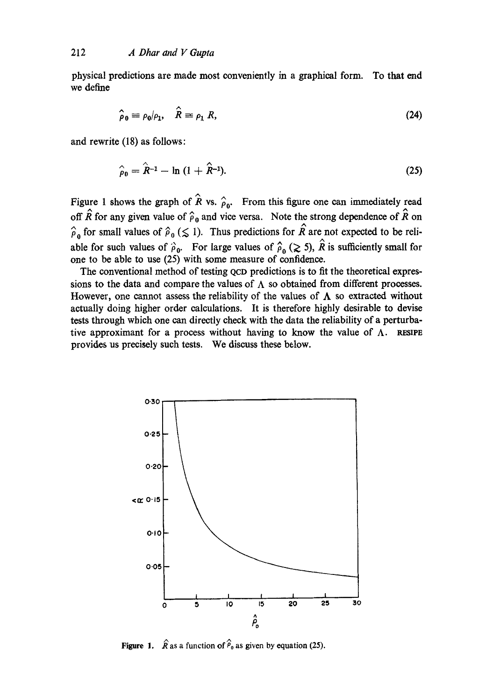physical predictions are made most conveniently in a graphical form. To that end we define

$$
\hat{\rho}_0 \equiv \rho_0/\rho_1, \quad \hat{R} \equiv \rho_1 R,\tag{24}
$$

and rewrite (18) as follows:

$$
\hat{\rho}_0 = \hat{R}^{-1} - \ln (1 + \hat{R}^{-1}).
$$
\n(25)

Figure 1 shows the graph of  $\hat{R}$  vs.  $\hat{\rho}_{0}$ . From this figure one can immediately read off  $\hat{R}$  for any given value of  $\hat{\rho}_0$  and vice versa. Note the strong dependence of  $\hat{R}$  on  $\hat{\rho}_0$  for small values of  $\hat{\rho}_0$  ( $\leq$  1). Thus predictions for  $\hat{R}$  are not expected to be reliable for such values of  $\hat{\rho}_0$ . For large values of  $\hat{\rho}_0$  ( $\geq$  5),  $\hat{R}$  is sufficiently small for one to be able to use (25) with some measure of confidence.

The conventional method of testing QcD predictions is to fit the theoretical expressions to the data and compare the values of  $\Lambda$  so obtained from different processes. However, one cannot assess the reliability of the values of  $\Lambda$  so extracted without actually doing higher order calculations. It is therefore highly desirable to devise tests through wbich one can directly check with the data the reliability of a perturbative approximant for a process without having to know the value of  $\Lambda$ . RESIPE provides us precisely such tests. We discuss these below.



**Figure 1.**  $\hat{R}$  as a function of  $\hat{P}_0$  as given by equation (25).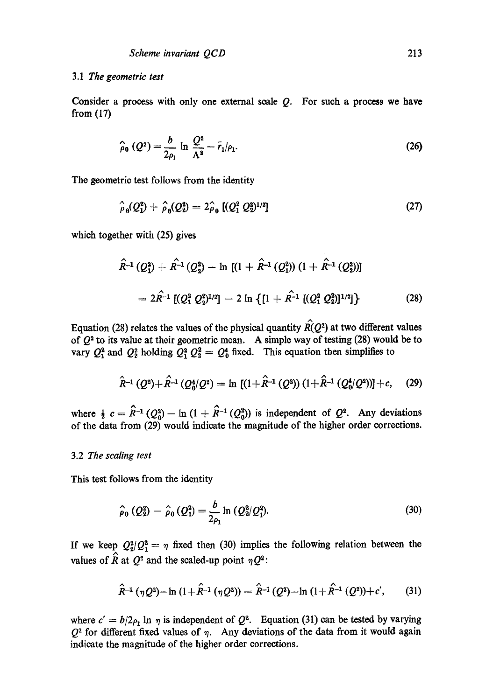# 3.1 *The geometric test*

Consider a process with only one external scale  $Q$ . For such a process we have from (17)

$$
\hat{\rho}_0(Q^2) = \frac{b}{2\rho_1} \ln \frac{Q^2}{\Lambda^2} - \bar{r}_1/\rho_1.
$$
 (26)

The geometric test follows from the identity

$$
\hat{\rho}_0(Q_1^2) + \hat{\rho}_0(Q_2^2) = 2\hat{\rho}_0 \left[ (Q_1^2 \ Q_2^2)^{1/2} \right] \tag{27}
$$

whioh together with (25) gives

$$
\hat{R}^{-1} (Q_1^2) + \hat{R}^{-1} (Q_2^2) - \ln \left[ (1 + \hat{R}^{-1} (Q_1^2)) (1 + \hat{R}^{-1} (Q_2^2)) \right]
$$
  
=  $2\hat{R}^{-1} \left[ (Q_1^2 Q_2^2)^{1/2} \right] - 2 \ln \left\{ [1 + \hat{R}^{-1} \left[ (Q_1^2 Q_2^2)^{1/2} \right] \right\}$  (28)

Equation (28) relates the values of the physical quantity  $\hat{R}(Q^2)$  at two different values of  $Q^2$  to its value at their geometric mean. A simple way of testing (28) would be to vary  $Q_1^2$  and  $Q_2^2$  holding  $Q_1^2 Q_2^2 = Q_0^4$  fixed. This equation then simplifies to

$$
\hat{R}^{-1}(Q^2) + \hat{R}^{-1}(Q_0^4/Q^2) = \ln \left[ (1 + \hat{R}^{-1}(Q^2)) (1 + \hat{R}^{-1}(Q_0^4/Q^2)) \right] + c, \quad (29)
$$

where  $\frac{1}{2} c = \hat{R}^{-1} (Q_0^2) - \ln (1 + \hat{R}^{-1} (Q_0^2))$  is independent of  $Q^2$ . Any deviations of the data from (29) would indicate the magnitude of the higher order corrections.

### 3.2 *The scaling test*

This test follows from the identity

$$
\hat{\rho}_0 (Q_2^2) - \hat{\rho}_0 (Q_1^2) = \frac{b}{2\rho_1} \ln (Q_2^2/Q_1^2).
$$
 (30)

If we keep  $Q_2^2/Q_1^2 = \eta$  fixed then (30) implies the following relation between the values of  $\hat{R}$  at  $Q^2$  and the scaled-up point  $\eta Q^2$ :

$$
\hat{R}^{-1}(\eta Q^2) - \ln (1 + \hat{R}^{-1}(\eta Q^2)) = \hat{R}^{-1}(Q^2) - \ln (1 + \hat{R}^{-1}(Q^2)) + c', \qquad (31)
$$

where  $c' = b/2\rho_1 \ln \eta$  is independent of  $Q^2$ . Equation (31) can be tested by varying  $Q^2$  for different fixed values of  $\eta$ . Any deviations of the data from it would again indicate the magnitude of the higher order corrections.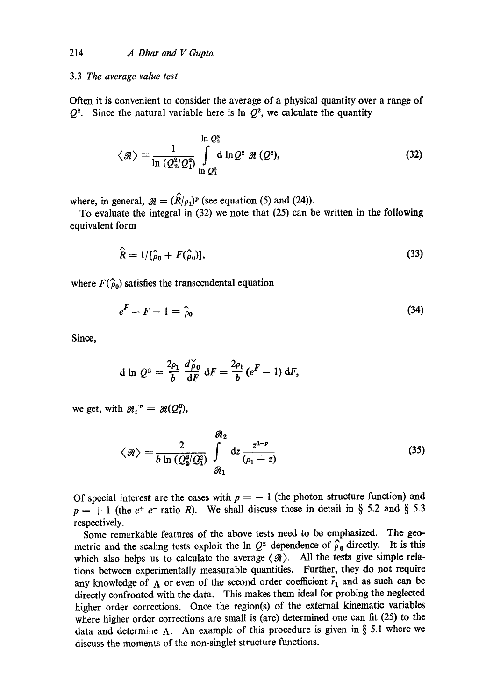# 3.3 *The average value test*

Often it is convenient to consider the average of a physical quantity over a range of  $Q^2$ . Since the natural variable here is ln  $Q^2$ , we calculate the quantity

$$
\langle \mathcal{R} \rangle \equiv \frac{1}{\ln (Q_2^2/Q_1^2)} \int\limits_{\ln Q_1^2}^{\ln Q_2^2} d \ln Q^2 \mathcal{R} (Q^2), \qquad (32)
$$

where, in general,  $\mathcal{R} = (\hat{R}/\rho_1)^p$  (see equation (5) and (24)).

To evaluate the integral in (32) we note that (25) can be written in the following equivalent form

$$
\hat{R} = 1/[\hat{\rho}_0 + F(\hat{\rho}_0)],\tag{33}
$$

where  $F(\hat{\rho}_0)$  satisfies the transcendental equation

$$
e^F - F - 1 = \hat{\rho}_0 \tag{34}
$$

Since,

$$
\mathrm{d}\ln\,Q^2=\frac{2\rho_1}{b}\,\frac{d\breve{\rho}_0}{\mathrm{d}F}\,\mathrm{d}F=\frac{2\rho_1}{b}\,(e^F-1)\,\mathrm{d}F,
$$

we get, with  $\mathcal{R}_i^{-p} = \mathcal{R}(Q_i^2)$ ,

$$
\langle \mathcal{R} \rangle = \frac{2}{b \ln \left( Q_2^2 / Q_1^2 \right)} \int\limits_{\mathcal{R}_1}^{R_2} \mathrm{d}z \, \frac{z^{1-p}}{\left( \rho_1 + z \right)} \tag{35}
$$

Of special interest are the cases with  $p = -1$  (the photon structure function) and  $p = +1$  (the  $e^+ e^-$  ratio R). We shall discuss these in detail in § 5.2 and § 5.3 respectively.

Some remarkable features of the above tests need to be emphasized. The geometric and the scaling tests exploit the In  $Q^2$  dependence of  $\hat{\rho}_0$  directly. It is this which also helps us to calculate the average  $\langle A \rangle$ . All the tests give simple relations between experimentally measurable quantities. Further, they do not require any knowledge of  $\Lambda$  or even of the second order coefficient  $\bar{r}_1$  and as such can be directly confronted with the data. This makes them ideal for probing the neglected higher order corrections. Once the region(s) of the external kinematic variables where higher order corrections are small is (are) determined one can fit (25) to the data and determine  $\Lambda$ . An example of this procedure is given in § 5.1 where we discuss the moments of the non-singlet structure functions.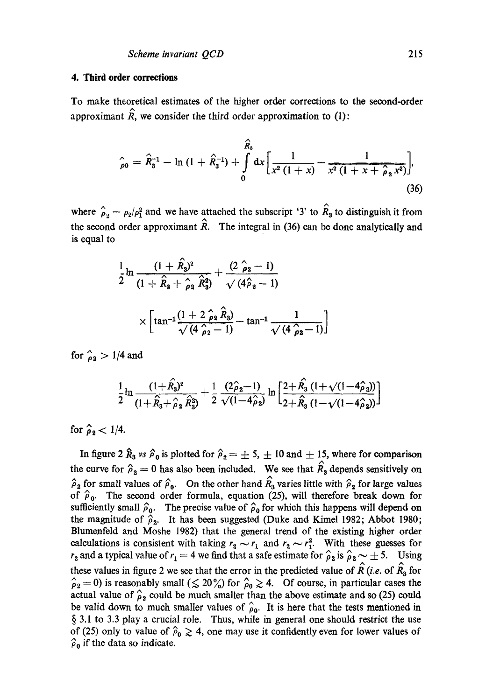### **4. Third order corrections**

To make theoretical estimates of the higher order corrections to the second-order approximant  $\hat{R}$ , we consider the third order approximation to (1):

$$
\hat{\rho}_0 = \hat{R}_3^{-1} - \ln(1 + \hat{R}_3^{-1}) + \int_0^{\hat{R}_3} dx \left[ \frac{1}{x^2(1+x)} - \frac{1}{x^2(1+x+\hat{\rho}_2 x^2)} \right],
$$
\n(36)

where  $\hat{\rho}_2 = \rho_2/\rho_1^2$  and we have attached the subscript '3' to  $\hat{R}_3$  to distinguish it from the second order approximant  $\hat{R}$ . The integral in (36) can be done analytically and is equal to

$$
\frac{1}{2}\ln\frac{(1+\hat{R}_3)^2}{(1+\hat{R}_3+\hat{\rho}_2\hat{R}_3^2)}+\frac{(2\hat{\rho}_2-1)}{\sqrt{(4\hat{\rho}_2-1)}}\times\left[\tan^{-1}\frac{(1+2\hat{\rho}_2\hat{R}_3)}{\sqrt{(4\hat{\rho}_2-1)}}-\tan^{-1}\frac{1}{\sqrt{(4\hat{\rho}_2-1)}}\right]
$$

for  $\hat{p}_2 > 1/4$  and

$$
\frac{1}{2}\ln\frac{(1+\hat{R_3})^2}{(1+\hat{R}_3+\hat{\rho}_2\hat{R}_3^2)}+\frac{1}{2}\frac{(2\hat{\rho}_2-1)}{\sqrt{(1-4\hat{\rho}_2)}}\ln\left[\frac{2+\hat{R_3}\left(1+\sqrt{(1-4\hat{\rho}_2)}\right)}{2+\hat{R_3}\left(1-\sqrt{(1-4\hat{\rho}_2)}\right)}\right]
$$

for  $\hat{\rho}_2 < 1/4$ .

In figure 2  $\hat{R}_3$  vs  $\hat{\rho}_0$  is plotted for  $\hat{\rho}_2 = \pm 5, \pm 10$  and  $\pm 15$ , where for comparison the curve for  $\hat{\rho}_2 = 0$  has also been included. We see that  $\hat{R}_3$  depends sensitively on  $\hat{\rho}_2$  for small values of  $\hat{\rho}_0$ . On the other hand  $\hat{R}_3$  varies little with  $\hat{\rho}_2$  for large values of  $\hat{\rho}_0$ . The second order formula, equation (25), will therefore break down for sufficiently small  $\hat{\rho}_0$ . The precise value of  $\hat{\rho}_0$  for which this happens will depend on the magnitude of  $\hat{\rho}_2$ . It has been suggested (Duke and Kimel 1982; Abbot 1980; Blumenfeld and Moshe 1982) that the general trend of the existing higher order calculations is consistent with taking  $r_2 \sim r_1$  and  $r_2 \sim r_1^2$ . With these guesses for  $r_2$  and a typical value of  $r_1 = 4$  we find that a safe estimate for  $\hat{\rho}_2$  is  $\hat{\rho}_2 \sim \pm 5$ . Using these values in figure 2 we see that the error in the predicted value of  $\hat{R}$  (*i.e.* of  $\hat{R}_3$  for  $\hat{\rho}_2 = 0$ ) is reasonably small ( $\leq 20\%$ ) for  $\hat{\rho}_0 \geq 4$ . Of course, in particular cases the actual value of  $\hat{\rho}_2$  could be much smaller than the above estimate and so (25) could be valid down to much smaller values of  $\hat{\rho}_0$ . It is here that the tests mentioned in § 3.1 to 3.3 play a crucial role. Thus, while in general one should restrict the use of (25) only to value of  $\hat{\rho}_0 \ge 4$ , one may use it confidently even for lower values of  $\hat{\rho}_0$  if the data so indicate.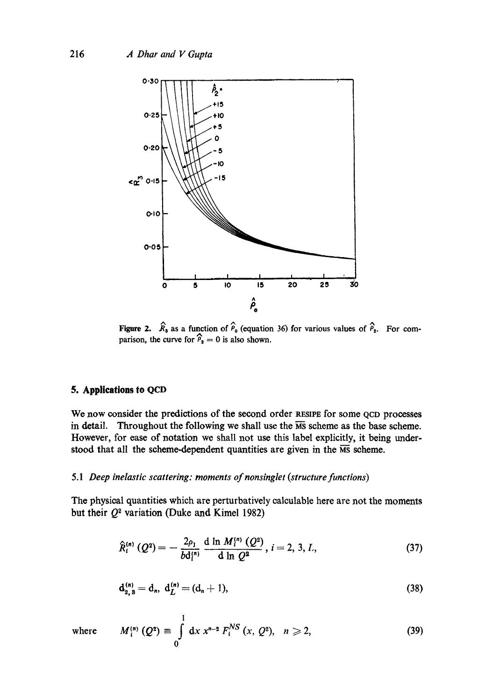

Figure 2.  $\hat{R}_3$  as a function of  $\hat{P}_0$  (equation 36) for various values of  $\hat{P}_2$ . parison, the curve for  $\hat{P}_2 = 0$  is also shown. For com-

# **5. Applications to QCD**

We now consider the predictions of the second order RESIPE for some QCD processes in detail. Throughout the following we shall use the  $\overline{MS}$  scheme as the base scheme. However, for ease of notation we shall not use this label explicitly, it being understood that all the scheme-dependent quantities are given in the  $\overline{\text{MS}}$  scheme.

# *5.1 Deep inelastic scattering: moments of nonsinglet (structure functions)*

The physical quantities which are perturbatively calculable here are not the moments but their  $Q^2$  variation (Duke and Kimel 1982)

$$
\hat{R}_{i}^{(n)}(Q^{2}) = -\frac{2\rho_{1}}{bd_{i}^{(n)}} \frac{d \ln M_{i}^{(n)}(Q^{2})}{d \ln Q^{2}}, i = 2, 3, L,
$$
\n(37)

$$
\mathbf{d}_{2,3}^{(n)} = \mathbf{d}_n, \ \mathbf{d}_L^{(n)} = (\mathbf{d}_n + 1), \tag{38}
$$

where 
$$
M_i^{(n)}(Q^2) \equiv \int_0^1 dx \, x^{n-2} F_i^{NS}(x, Q^2), \quad n \ge 2,
$$
 (39)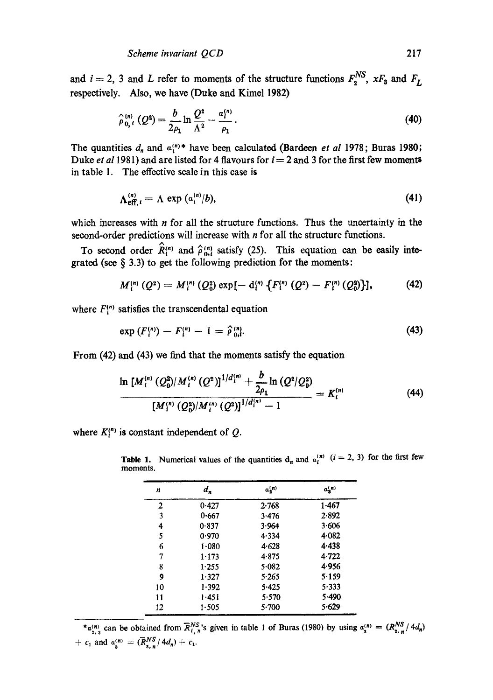and  $i = 2$ , 3 and L refer to moments of the structure functions  $F_2^{NS}$ ,  $xF_3$  and  $F_L$ respectively. Also, we have (Duke and Kimel **1982)** 

$$
\hat{\rho}_{0,i}^{(n)}(Q^2) = \frac{b}{2\rho_1} \ln \frac{Q^2}{\Lambda^2} - \frac{a_1^{(n)}}{\rho_1} \,. \tag{40}
$$

The quantities  $d_n$  and  $a_i^{(n)*}$  have been calculated (Bardeen *et al* 1978; Buras 1980; Duke *et al* 1981) and are listed for 4 flavours for  $i = 2$  and 3 for the first few moments in table 1. The effective scale in this case is

$$
\Lambda_{\text{eff. }i}^{(n)} = \Lambda \exp\left(a_i^{(n)}/b\right),\tag{41}
$$

which increases with *n* for all the structure functions. Thus the uncertainty in the second-order predictions will increase with *n* for all the structure functions. **<sup>A</sup>**

To second order  $R_i^{(n)}$  and  $\hat{\rho}_{0,i}^{(n)}$  satisfy (25). This equation can be easily integrated (see **5 3.3)** to get the following prediction for the moments:

$$
M_1^{(n)}(Q^2) = M_1^{(n)}(Q_0^2) \exp[-d_1^{(n)}\left\{F_1^{(n)}(Q^2) - F_1^{(n)}(Q_0^2)\right\}], \tag{42}
$$

where  $F_i^{(n)}$  satisfies the transcendental equation

$$
\exp\left(F_i^{(n)}\right) - F_i^{(n)} - 1 = \hat{\rho}_{0,i}^{(n)}.\tag{43}
$$

From **(42)** and **(43)** we find that the moments satisfy the equation

$$
\frac{\ln [M_i^{(n)} (Q_0^2)/M_i^{(n)} (Q^2)]^{1/d_i^{(n)}} + \frac{b}{2\rho_1} \ln (Q^2/Q_0^2)}{[M_i^{(n)} (Q_0^2)/M_i^{(n)} (Q^2)]^{1/d_i^{(n)}} - 1} = K_i^{(n)}
$$
(44)

where  $K_i^{(n)}$  is constant independent of Q.

| n  | $d_n$   | $a_n^{(n)}$ | $a_n^{(n)}$ |
|----|---------|-------------|-------------|
| 2  | 0.427   | 2.768       | 1.467       |
| 3  | 0.667   | 3.476       | 2.892       |
| 4  | 0.837   | 3.964       | 3.606       |
| 5  | 0.970   | 4.334       | 4.082       |
| 6  | 1.080   | 4.628       | 4.438       |
| 7  | 1.173   | 4.875       | 4.722       |
| 8  | 1.255   | 5.082       | 4.956       |
| 9  | 1.327   | 5.265       | 5.159       |
| 10 | $1-392$ | 5.425       | 5.333       |
| 11 | 1.451   | 5.570       | 5.490       |
| 12 | 1.505   | 5.700       | 5.629       |

**Table 1.** Numerical values of the quantities  $d_n$  and  $a_i^{(n)}$   $(i = 2, 3)$  for the first few **moments.** 

 $*_{\alpha_{2,3}^{(n)}}$  can be obtained from  $\overline{R}_{1,n}^{NS}$ 's given in table 1 of Buras (1980) by using  $\alpha_2^{(n)} = (R_{2,n}^{NS}/4d_n)$ +  $c_1$  and  $a_3^{(n)} = (\overline{R}_{s_1,n}^{NS}/4d_n) + c_1$ .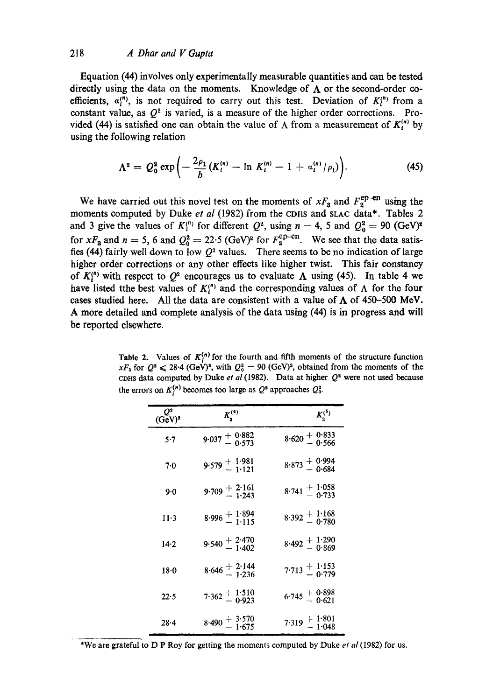# 218 *A Dhar and V Gupta*

Equation (44) involves only experimentally measurable quantities and can be tested directly using the data on the moments. Knowledge of  $\Lambda$  or the second-order coefficients,  $a_i^{(n)}$ , is not required to carry out this test. Deviation of  $K_i^{(n)}$  from a constant value, as  $Q^2$  is varied, is a measure of the higher order corrections. Provided (44) is satisfied one can obtain the value of  $\Lambda$  from a measurement of  $K_i^{(n)}$  by using the following relation

$$
\Lambda^{2} = Q_{0}^{2} \exp \left(-\frac{2\rho_{1}}{b}(K_{i}^{(n)} - \ln K_{i}^{(n)} - 1 + a_{i}^{(n)}/\rho_{1})\right).
$$
 (45)

We have carried out this novel test on the moments of  $xF_3$  and  $F_2^{\text{ep-en}}$  using the moments computed by Duke et al (1982) from the CDHS and SLAC data\*. Tables 2 and 3 give the values of  $K_i^{(n)}$  for different  $Q^2$ , using  $n = 4$ , 5 and  $Q_0^2 = 90$  (GeV)<sup>2</sup> for  $xF_3$  and  $n = 5$ , 6 and  $Q_0^2 = 22.5$  (GeV)<sup>2</sup> for  $F_2^{\text{cp-en}}$ . We see that the data satisfies (44) fairly well down to low  $Q^2$  values. There seems to be no indication of large higher order corrections or any other effects like higher twist. This fair constancy of  $K_i^{(n)}$  with respect to  $Q^2$  encourages us to evaluate  $\Lambda$  using (45). In table 4 we have listed tthe best values of  $K_i^{(n)}$  and the corresponding values of  $\Lambda$  for the four cases studied here. All the data are consistent with a value of  $\Lambda$  of 450-500 MeV. A more detailed and complete analysis of the data using (44) is in progress and will be reported elsewhere.

Table 2. Values of  $K_i^{(n)}$  for the fourth and fifth moments of the structure function  $xF_3$  for  $Q^2 \le 28.4$  (GeV)<sup>2</sup>, with  $Q_0^2 = 90$  (GeV)<sup>2</sup>, obtained from the moments of the CDHS data computed by Duke *et al* (1982). Data at higher  $Q^2$  were not used because the errors on  $K_i^{(n)}$  becomes too large as  $Q^2$  approaches  $Q_0^2$ .

| $\boldsymbol{\varrho}$<br>$(GeV)^2$ | $K_{2}^{(4)}$                   | $K_3^{(5)}$                  |
|-------------------------------------|---------------------------------|------------------------------|
| 5.7                                 | $9.037 + 0.882$<br>- 0.573      | $8.620 + 0.833$<br>- 0.566   |
| 7.0                                 | $9.579 + 1.981$<br>-1.121       | $8.873 + 0.994$<br>0.684     |
| 9.0                                 | $9.709 + 2.161$<br>$-1.243$     | $8.741 + 1.058$<br>0.733     |
| $11-3$                              | $8.996 \pm \frac{1.894}{1.115}$ | $8.392 + 1.168$<br>0.780     |
| 14.2                                | 9.540 $\pm 2.470$<br>1.402      | $8.492 + 1.290$<br>0.869     |
| $18 - 0$                            | $8.646 \div 2.144$<br>-1.236    | $7.713 + 1.153$<br>$- 0.779$ |
| 22.5                                | $7.362 + 1.510$<br>0.923        | $6.745 + 0.898$<br>$- 0.621$ |
| 28.4                                | $8.490 + 3.570$<br>- 1.675      | $7.319 + 1.801$<br>-1.048    |

\*We are grateful to D P Roy for getting the moments computed by Duke *et al* (1982) for us.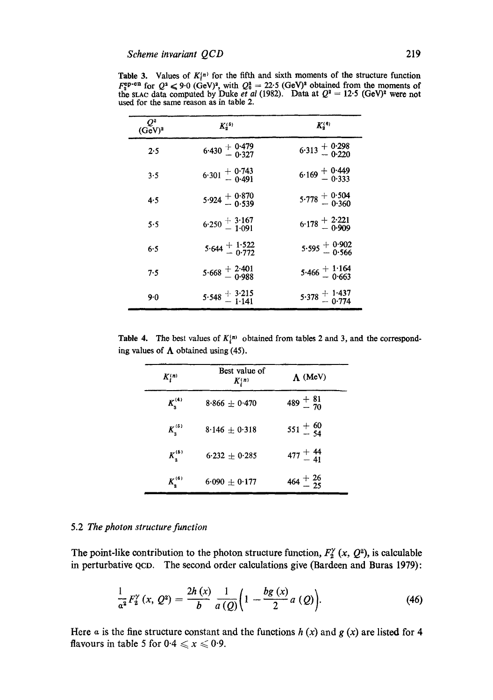| $Q^2$<br>(GeV) <sup>2</sup> | $K_{\alpha}^{(5)}$       | $K_s^{(6)}$                   |
|-----------------------------|--------------------------|-------------------------------|
| 2.5                         | $6.430 + 0.479$<br>0.327 | $6.313 + 0.298$<br>0.220      |
| 3.5                         | $6.301 + 0.743$<br>0.491 | $6.169 - 0.333$               |
| 4.5                         | $5.924 \pm 0.539$        | $5.778 + 0.304$<br>0.360      |
| 5.5                         | $6.250 \pm 3.167$        | $6.178 + \frac{2.221}{0.909}$ |
| 6.5                         | $5.644 + 1.522$          | $5.595 \pm 0.902$             |
| 7.5                         | $5.668 \pm 2.401$        | $5.466 \pm 1.164$             |
| 9.0                         | $5.548 \pm 3.215$        | $5.378 + 1.437$<br>- 0.774    |

Table 3. Values of  $K_i^{(n)}$  for the fifth and sixth moments of the structure function  $F_2^{\text{sp-en}}$  for  $Q^2 \leq 9.0$  (GeV)<sup>2</sup>, with  $Q_0^* = 22.5$  (GeV)<sup>2</sup> obtained from the moments of the stace data computed by Duke *et al* (1982). Data at  $Q^2 = 12.5$  (GeV)<sup>2</sup> were not used for the same reason as in table 2.

**Table 4.** The best values of  $K_i^{(n)}$  obtained from tables 2 and 3, and the corresponding values of  $\Lambda$  obtained using (45).

| $K_i^{(n)}$       | Best value of<br>K(n) | $\Lambda$ (MeV)       |
|-------------------|-----------------------|-----------------------|
| $K_{\rm s}^{(4)}$ | $8.866 \pm 0.470$     | $489 + \frac{81}{70}$ |
| $K_{n}^{(5)}$     | $8.146 + 0.318$       | $551 \pm 60$          |
| $K_2^{(5)}$       | $6.232 + 0.285$       | $477 + 44$            |
| $K_2^{(6)}$       | $6.090 \pm 0.177$     | $464 + \frac{26}{25}$ |

### 5.2 *The photon structure function*

The point-like contribution to the photon structure function,  $F_2^{\gamma}(x, Q^2)$ , is calculable in perturbative QCO. The second order calculations give (Bardeen and Buras 1979):

$$
\frac{1}{a^2}F_2^{\gamma}(x, Q^2) = \frac{2h(x)}{b} \frac{1}{a(Q)} \bigg(1 - \frac{bg(x)}{2}a(Q)\bigg). \tag{46}
$$

Here a is the fine structure constant and the functions  $h(x)$  and  $g(x)$  are listed for 4 flavours in table 5 for  $0.4 \le x \le 0.9$ .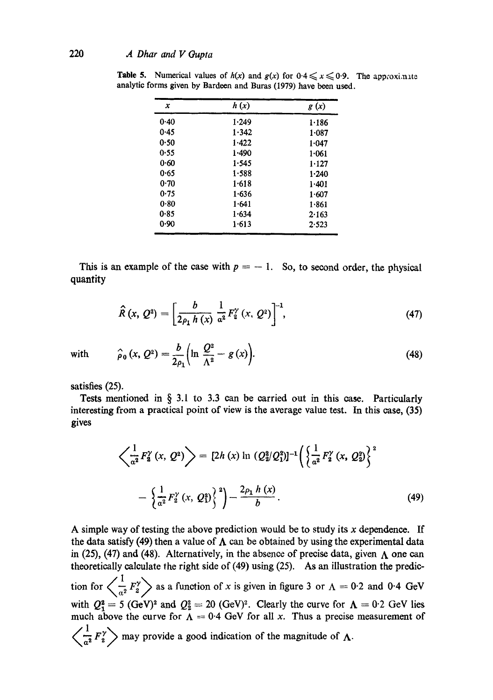| x    | h(x)  | g(x)      |
|------|-------|-----------|
| 0.40 | 1.249 | 1.186     |
| 0.45 | 1.342 | 1.087     |
| 0.50 | 1.422 | 1.047     |
| 0.55 | 1.490 | $1 - 061$ |
| 0.60 | 1.545 | 1.127     |
| 0.65 | 1.588 | 1.240     |
| 0.70 | 1.618 | 1.401     |
| 0.75 | 1.636 | 1.607     |
| 0.80 | 1.641 | 1.861     |
| 0.85 | 1.634 | 2.163     |
| 0.90 | 1.613 | 2.523     |

**Table 5.** Numerical values of  $h(x)$  and  $g(x)$  for  $0.4 \le x \le 0.9$ . The approximate analytic forms given by Bardeen and Buras (1979) have been used.

This is an example of the case with  $p = -1$ . So, to second order, the physical quantity

$$
\widehat{R}(x, Q^2) = \left[\frac{b}{2\rho_1 h(x)} \frac{1}{\alpha^2} F_2^{\gamma}(x, Q^2)\right]^{-1},
$$
\n(47)

with 
$$
\hat{\rho}_0(x, Q^2) = \frac{b}{2\rho_1} \left( \ln \frac{Q^2}{\Lambda^2} - g(x) \right).
$$
 (48)

satisfies (25).

Tests mentioned in § 3.1 to 3.3 can be carried out in this case. Particularly interesting from a practical point of view is the average value test. In this ease, (35) gives

$$
\left\langle \frac{1}{a^2} F_2^{\gamma} (x, Q^2) \right\rangle = [2h(x) \ln (Q_2^2/Q_1^2)]^{-1} \left( \left\{ \frac{1}{a^2} F_2^{\gamma} (x, Q_2^2) \right\}^2 - \left\{ \frac{1}{a^2} F_2^{\gamma} (x, Q_1^2) \right\}^2 \right) - \frac{2\rho_1 h(x)}{b} .
$$
\n(49)

A simple way of testing the above prediction would be to study its  $x$  dependence. If the data satisfy (49) then a value of  $\Lambda$  can be obtained by using the experimental data in (25), (47) and (48). Alternatively, in the absence of precise data, given  $\Lambda$  one can theoretically calculate the right side of (49) using (25). As an illustration the prediction for  $\left\langle \frac{1}{a^2} F_2^{\gamma} \right\rangle$  as a function of x is given in figure 3 or  $\Lambda = 0.2$  and 0.4 GeV with  $Q_1^2 = 5$  (GeV)<sup>2</sup> and  $Q_2^2 = 20$  (GeV)<sup>2</sup>. Clearly the curve for  $\Lambda = 0.2$  GeV lies much above the curve for  $\Lambda = 0.4$  GeV for all x. Thus a precise measurement of  $\left\langle \frac{\overline{a^2}}{a^2} F'_2 \right\rangle$  may provide a good indication of the magnitude of  $\Lambda$ .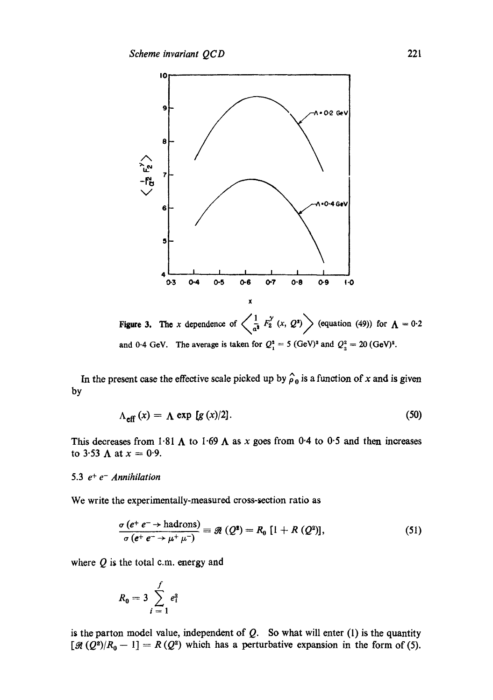

Figure 3. The x dependence of  $\left\langle \frac{1}{a^2} F_2^{\gamma}(x, Q^2) \right\rangle$  (equation (49)) for  $\Lambda = 0.2$ and 0.4 GeV. The average is taken for  $Q_1^2 = 5$  (GeV)<sup>2</sup> and  $Q_2^2 = 20$  (GeV)<sup>2</sup>.

In the present case the effective scale picked up by  $\hat{\rho}_0$  is a function of x and is given by

$$
\Lambda_{\text{eff}}(x) = \Lambda \exp [g(x)/2]. \tag{50}
$$

This decreases from 1.81  $\Lambda$  to 1.69  $\Lambda$  as x goes from 0.4 to 0.5 and then increases to 3.53  $\Lambda$  at  $x = 0.9$ .

# 5.3  $e^+e^-$  *Annihilation*

We write the experimentally-measured cross-section ratio as

$$
\frac{\sigma\left(e^{+}\ e^{-}\rightarrow\text{hadrons}\right)}{\sigma\left(e^{+}\ e^{-}\rightarrow\mu^{+}\mu^{-}\right)}\equiv\mathscr{R}\left(Q^{2}\right)=R_{0}\left[1+R\left(Q^{2}\right)\right],\tag{51}
$$

where  $Q$  is the total c.m. energy and

$$
R_0 = 3 \sum_{i=1}^{f} e_i^2
$$

is the parton model value, independent of  $Q$ . So what will enter (1) is the quantity  $[\mathcal{A}(Q^2)/R_0 - 1] = R(Q^2)$  which has a perturbative expansion in the form of (5).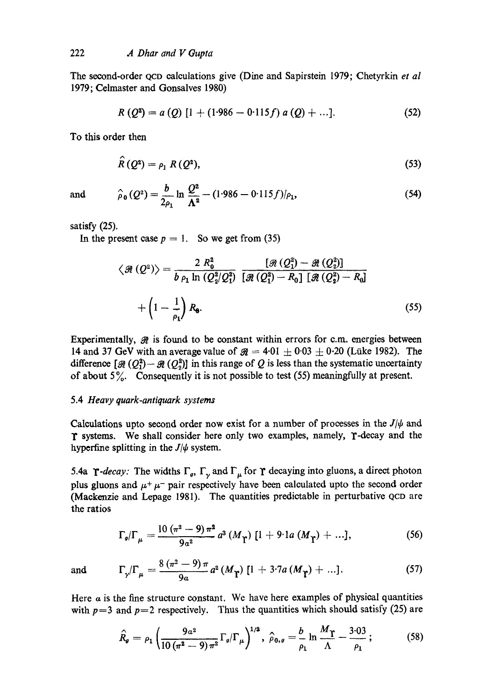The second-order QCD calculations give (Dine and Sapirstein 1979; Chetyrkin *et al*  1979; Celmaster and Gonsalves 1980)

$$
R(Q2) = a (Q) [1 + (1.986 - 0.115f) a (Q) + ...].
$$
 (52)

To this order then

$$
\hat{R}(Q^2) = \rho_1 R(Q^2),\tag{53}
$$

and 
$$
\hat{\rho}_0(Q^2) = \frac{b}{2\rho_1} \ln \frac{Q^2}{\Lambda^2} - (1.986 - 0.115f)/\rho_1,
$$
 (54)

satisfy (25).

In the present case  $p = 1$ . So we get from (35)

$$
\langle \mathcal{R} (Q^2) \rangle = \frac{2 R_0^2}{b \rho_1 \ln (Q_2^2/Q_1^2)} \frac{[\mathcal{R} (Q_1^2) - \mathcal{R} (Q_2^2)]}{[\mathcal{R} (Q_1^2) - R_0] [\mathcal{R} (Q_2^2) - R_0]}
$$

$$
+ \left(1 - \frac{1}{\rho_1}\right) R_0.
$$
(55)

Experimentally,  $\mathcal{R}$  is found to be constant within errors for c.m. energies between 14 and 37 GeV with an average value of  $\mathcal{R} = 4.01 \pm 0.03 \pm 0.20$  (Lüke 1982). The difference  $[\mathcal{R}(Q_1^2)-\mathcal{R}(Q_2^2)]$  in this range of Q is less than the systematic uncertainty of about  $5\%$ . Consequently it is not possible to test (55) meaningfully at present.

### 5.4 *Heavy quark-antiquark systems*

Calculations upto second order now exist for a number of processes in the  $J/\psi$  and 1" systems. We shall consider here only two examples, namely, T-decay and the hyperfine splitting in the  $J/\psi$  system.

5.4a **r**-decay: The widths  $\Gamma_g$ ,  $\Gamma_\gamma$  and  $\Gamma_\mu$  for **r** decaying into gluons, a direct photon plus gluons and  $\mu^+\mu^-$  pair respectively have been calculated upto the second order (Mackenzie and Lepage 1981). The quantities predictable in perturbative QCD are the ratios

$$
\Gamma_{g}/\Gamma_{\mu} = \frac{10 \left(\pi^{2} - 9\right) \pi^{2}}{9 \alpha^{2}} a^{3} \left(M_{\gamma}\right) \left[1 + 9 \cdot 1 a \left(M_{\gamma}\right) + \ldots\right],\tag{56}
$$

and 
$$
\Gamma_{\gamma}/\Gamma_{\mu} = \frac{8 (\pi^2 - 9) \pi}{9a} a^2 (M_{\gamma}) [1 + 3 \cdot 7a (M_{\gamma}) + ...]. \qquad (57)
$$

Here a is the fine structure constant. We have here examples of physical quantities with  $p=3$  and  $p=2$  respectively. Thus the quantities which should satisfy (25) are

$$
\hat{R}_{g} = \rho_1 \left( \frac{9a^2}{10 \left( \pi^2 - 9 \right) \pi^2} \Gamma_g / \Gamma_\mu \right)^{1/3}, \ \hat{\rho}_{0,g} = \frac{b}{\rho_1} \ln \frac{M_T}{\Lambda} - \frac{3 \cdot 03}{\rho_1}; \tag{58}
$$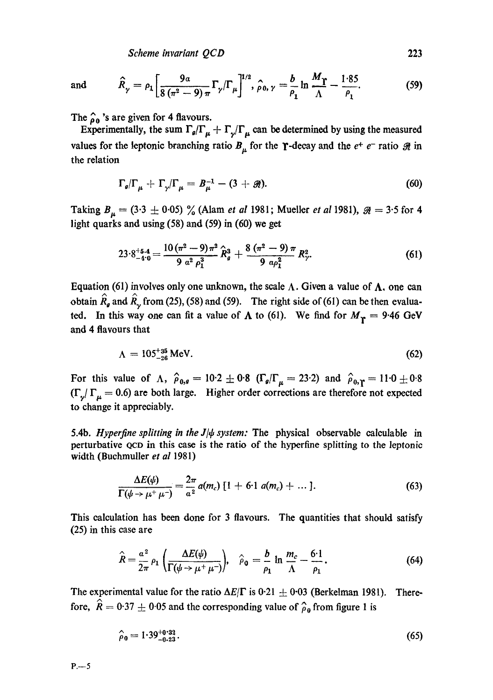*Scheme invariant QCD* 223

and 
$$
\hat{R}_{\gamma} = \rho_1 \left[ \frac{9a}{8(\pi^2 - 9)\pi} \Gamma_{\gamma} / \Gamma_{\mu} \right]^{1/2}, \hat{\rho}_0, \gamma = \frac{b}{\rho_1} \ln \frac{M_T}{\Lambda} - \frac{1.85}{\rho_1}.
$$
 (59)

The  $\hat{\rho}_0$  's are given for 4 flavours.

Experimentally, the sum  $\Gamma_g/\Gamma_\mu + \Gamma_\gamma/\Gamma_\mu$  can be determined by using the measured values for the leptonic branching ratio  $B_{\mu}$  for the  $\gamma$ -decay and the  $e^{+}e^{-}$  ratio  $\Re$  in the relation

$$
\Gamma_g/\Gamma_\mu + \Gamma_\gamma/\Gamma_\mu = B_\mu^{-1} - (3 + \mathcal{R}). \tag{60}
$$

Taking  $B_{\mu} = (3.3 \pm 0.05)$  % (Alam *et al* 1981; Mueller *et al* 1981),  $\mathcal{R} = 3.5$  for 4 light quarks and using (58) and (59) in (60) we get

$$
23\cdot8_{-4\cdot9}^{+5.4} = \frac{10\left(\pi^2 - 9\right)\pi^2}{9\ \alpha^2\ \rho_1^3} \hat{R}_g^3 + \frac{8\left(\pi^2 - 9\right)\pi}{9\ \alpha\rho_1^2} R_\gamma^2. \tag{61}
$$

Equation (61) involves only one unknown, the scale  $\Lambda$ . Given a value of  $\Lambda$ , one can obtain  $\hat{R}_{g}$  and  $\hat{R}_{g}$  from (25), (58) and (59). The right side of (61) can be then evaluated. In this way one can fit a value of  $\Lambda$  to (61). We find for  $M_{\rm r} = 9.46$  GeV and 4 flavours that

$$
\Lambda = 105^{+35}_{-26} \text{ MeV.} \tag{62}
$$

For this value of  $\Lambda$ ,  $\hat{\rho}_{0,q} = 10.2 \pm 0.8$  ( $\Gamma_q/\Gamma_\mu = 23.2$ ) and  $\hat{\rho}_{0,\gamma} = 11.0 \pm 0.8$  $(\Gamma_y/\Gamma_\mu=0.6)$  are both large. Higher order corrections are therefore not expected to change it appreciably.

5.4b. *Hyperfine splitting in the*  $J/\psi$  *system:* The physical observable calculable in perturbative QCD in this case is the ratio of the hyperfine splitting to the leptonic width (Buchmuller *et al* 1981)

$$
\frac{\Delta E(\psi)}{\Gamma(\psi \to \mu^+ \mu^-)} = \frac{2\pi}{a^2} a(m_c) [1 + 6 \cdot 1 a(m_c) + \dots]. \tag{63}
$$

This calculation has been done for 3 flavours. The quantities that should satisfy (25) in this case are

$$
\hat{R} = \frac{a^2}{2\pi} \rho_1 \left( \frac{\Delta E(\psi)}{\Gamma(\psi \to \mu^+ \mu^-)} \right), \quad \hat{\rho}_0 = \frac{b}{\rho_1} \ln \frac{m_c}{\Lambda} - \frac{6 \cdot 1}{\rho_1}.
$$
 (64)

The experimental value for the ratio  $\Delta E/\Gamma$  is 0.21  $\pm$  0.03 (Berkelman 1981). Therefore,  $\hat{R} = 0.37 \pm 0.05$  and the corresponding value of  $\hat{\rho}_0$  from figure 1 is

$$
\hat{\rho}_0 = 1.39^{+0.33}_{-0.23} \tag{65}
$$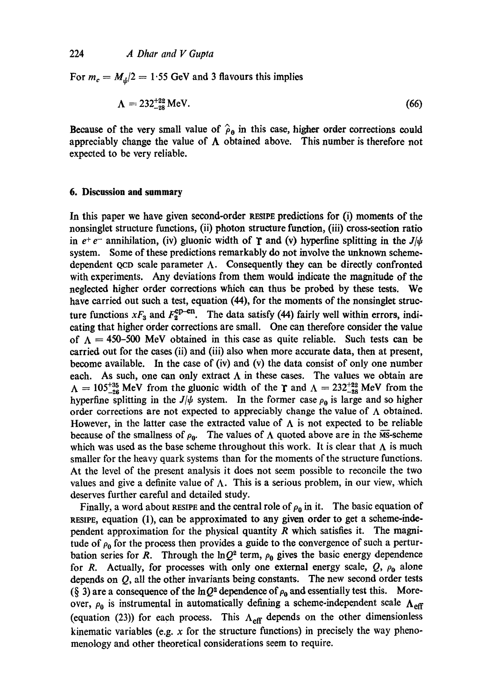For  $m_c = M_d/2 = 1.55$  GeV and 3 flavours this implies

$$
\Lambda = 232^{+22}_{-28} \text{ MeV.}
$$
 (66)

Because of the very small value of  $\hat{\rho}_0$  in this case, higher order corrections could appreciably change the value of  $\Lambda$  obtained above. This number is therefore not expected to be very reliable.

# **6. Discussion and summary**

In this paper we have given second-order RESIPE predictions for (i) moments of the nonsinglet structure functions, (ii) photon structure function, (iii) cross-section ratio in  $e^+e^-$  annihilation, (iv) gluonic width of **T** and (v) hyperfine splitting in the  $J/\psi$ system. Some of these predictions remarkably do not involve the unknown schemedependent QCD scale parameter  $\Lambda$ . Consequently they can be directly confronted with experiments. Any deviations from them would indicate the magnitude of the neglected higher order corrections which can thus be probed by these tests. We have carried out such a test, equation (44), for the moments of the nonsinglet structure functions  $xF_3$  and  $F_2^{\text{ep-en}}$ . The data satisfy (44) fairly well within errors, indicating that higher order corrections are small. One can therefore consider the value of  $\Lambda = 450$ -500 MeV obtained in this case as quite reliable. Such tests can be carried out for the cases (ii) and (iii) also when more accurate data, then at present, become available. In the case of (iv) and (v) the data consist of only one number each. As such, one can only extract  $\Lambda$  in these cases. The values we obtain are  $\Lambda = 105^{+35}_{-26}$  MeV from the gluonic width of the T and  $\Lambda = 232^{+22}_{-28}$  MeV from the hyperfine splitting in the *J/* $\psi$  system. In the former case  $\rho_0$  is large and so higher order corrections are not expected to appreciably change the value of  $\Lambda$  obtained. However, in the latter case the extracted value of  $\Lambda$  is not expected to be reliable because of the smallness of  $\rho_0$ . The values of  $\Lambda$  quoted above are in the MS-scheme which was used as the base scheme throughout this work. It is clear that  $\Lambda$  is much smaller for the heavy quark systems than for the moments of the structure functions. At the level of the present analysis it does not seem possible to reconcile the two values and give a definite value of  $\Lambda$ . This is a serious problem, in our view, which deserves further careful and detailed study.

Finally, a word about RESIPE and the central role of  $\rho_0$  in it. The basic equation of RESIPE, equation  $(1)$ , can be approximated to any given order to get a scheme-independent approximation for the physical quantity  $R$  which satisfies it. The magnitude of  $\rho_0$  for the process then provides a guide to the convergence of such a perturbation series for R. Through the ln $Q^2$  term,  $\rho_0$  gives the basic energy dependence for R. Actually, for processes with only one external energy scale,  $Q$ ,  $\rho_0$  alone depends on  $Q$ , all the other invariants being constants. The new second order tests (§ 3) are a consequence of the lnQ<sup>2</sup> dependence of  $\rho_0$  and essentially test this. Moreover,  $\rho_0$  is instrumental in automatically defining a scheme-independent scale  $\Lambda_{\text{eff}}$ (equation (23)) for each process. This  $\Lambda_{\text{eff}}$  depends on the other dimensionless kinematic variables (e.g.  $x$  for the structure functions) in precisely the way phenomenology and other theoretical considerations seem to require.